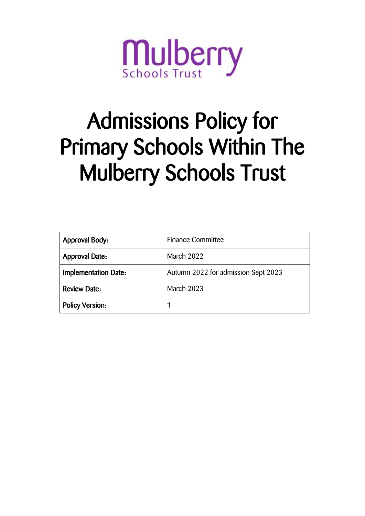

# Admissions Policy for Primary Schools Within The Mulberry Schools Trust

| <b>Approval Body:</b>  | <b>Finance Committee</b>            |  |
|------------------------|-------------------------------------|--|
| <b>Approval Date:</b>  | March 2022                          |  |
| Implementation Date:   | Autumn 2022 for admission Sept 2023 |  |
| <b>Review Date:</b>    | March 2023                          |  |
| <b>Policy Version:</b> |                                     |  |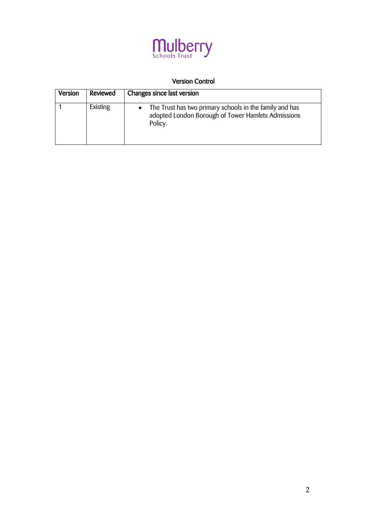

# Version Control

| <b>Version</b> | Reviewed | Changes since last version                                                                                                            |
|----------------|----------|---------------------------------------------------------------------------------------------------------------------------------------|
|                | Existing | The Trust has two primary schools in the family and has<br>$\bullet$<br>adopted London Borough of Tower Hamlets Admissions<br>Policy. |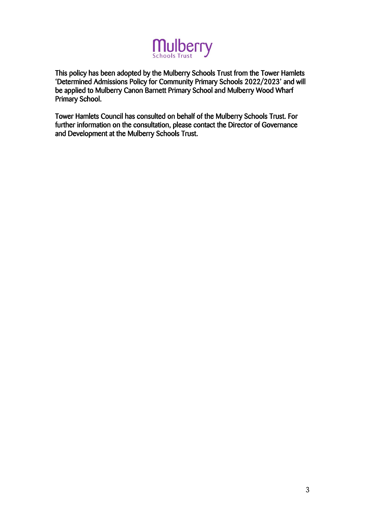

This policy has been adopted by the Mulberry Schools Trust from the Tower Hamlets 'Determined Admissions Policy for Community Primary Schools 2022/2023' and will be applied to Mulberry Canon Barnett Primary School and Mulberry Wood Wharf Primary School.

Tower Hamlets Council has consulted on behalf of the Mulberry Schools Trust. For further information on the consultation, please contact the Director of Governance and Development at the Mulberry Schools Trust.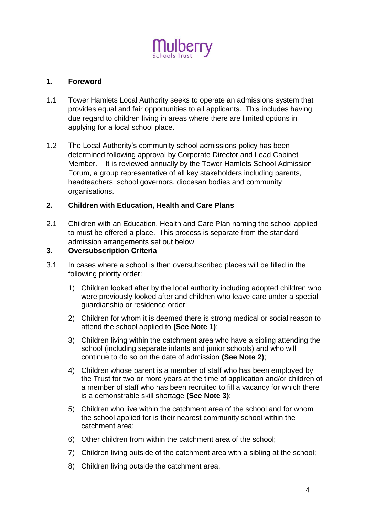

#### **1. Foreword**

- 1.1 Tower Hamlets Local Authority seeks to operate an admissions system that provides equal and fair opportunities to all applicants. This includes having due regard to children living in areas where there are limited options in applying for a local school place.
- 1.2 The Local Authority's community school admissions policy has been determined following approval by Corporate Director and Lead Cabinet Member. It is reviewed annually by the Tower Hamlets School Admission Forum, a group representative of all key stakeholders including parents, headteachers, school governors, diocesan bodies and community organisations.

#### **2. Children with Education, Health and Care Plans**

2.1 Children with an Education, Health and Care Plan naming the school applied to must be offered a place. This process is separate from the standard admission arrangements set out below.

## **3. Oversubscription Criteria**

- 3.1 In cases where a school is then oversubscribed places will be filled in the following priority order:
	- 1) Children looked after by the local authority including adopted children who were previously looked after and children who leave care under a special guardianship or residence order;
	- 2) Children for whom it is deemed there is strong medical or social reason to attend the school applied to **(See Note 1)**;
	- 3) Children living within the catchment area who have a sibling attending the school (including separate infants and junior schools) and who will continue to do so on the date of admission **(See Note 2)**;
	- 4) Children whose parent is a member of staff who has been employed by the Trust for two or more years at the time of application and/or children of a member of staff who has been recruited to fill a vacancy for which there is a demonstrable skill shortage **(See Note 3)**;
	- 5) Children who live within the catchment area of the school and for whom the school applied for is their nearest community school within the catchment area;
	- 6) Other children from within the catchment area of the school;
	- 7) Children living outside of the catchment area with a sibling at the school;
	- 8) Children living outside the catchment area.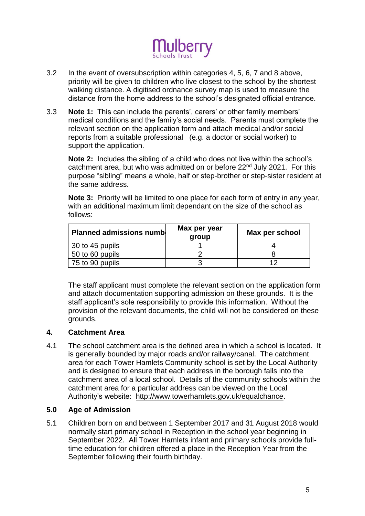

- 3.2 In the event of oversubscription within categories 4, 5, 6, 7 and 8 above, priority will be given to children who live closest to the school by the shortest walking distance. A digitised ordnance survey map is used to measure the distance from the home address to the school's designated official entrance.
- 3.3 **Note 1:** This can include the parents', carers' or other family members' medical conditions and the family's social needs. Parents must complete the relevant section on the application form and attach medical and/or social reports from a suitable professional (e.g. a doctor or social worker) to support the application.

**Note 2:** Includes the sibling of a child who does not live within the school's catchment area, but who was admitted on or before 22nd July 2021. For this purpose "sibling" means a whole, half or step-brother or step-sister resident at the same address.

**Note 3:** Priority will be limited to one place for each form of entry in any year, with an additional maximum limit dependant on the size of the school as follows:

| <b>Planned admissions number</b> | Max per year<br>group | Max per school |
|----------------------------------|-----------------------|----------------|
| 30 to 45 pupils                  |                       |                |
| 50 to 60 pupils                  |                       |                |
| 75 to 90 pupils                  |                       |                |

The staff applicant must complete the relevant section on the application form and attach documentation supporting admission on these grounds. It is the staff applicant's sole responsibility to provide this information. Without the provision of the relevant documents, the child will not be considered on these grounds.

# **4. Catchment Area**

4.1 The school catchment area is the defined area in which a school is located. It is generally bounded by major roads and/or railway/canal. The catchment area for each Tower Hamlets Community school is set by the Local Authority and is designed to ensure that each address in the borough falls into the catchment area of a local school. Details of the community schools within the catchment area for a particular address can be viewed on the Local Authority's website: http://www.towerhamlets.gov.uk/equalchance.

#### **5.0 Age of Admission**

5.1 Children born on and between 1 September 2017 and 31 August 2018 would normally start primary school in Reception in the school year beginning in September 2022. All Tower Hamlets infant and primary schools provide fulltime education for children offered a place in the Reception Year from the September following their fourth birthday.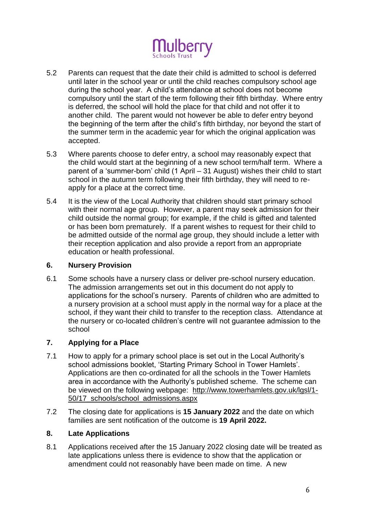

- 5.2 Parents can request that the date their child is admitted to school is deferred until later in the school year or until the child reaches compulsory school age during the school year. A child's attendance at school does not become compulsory until the start of the term following their fifth birthday. Where entry is deferred, the school will hold the place for that child and not offer it to another child. The parent would not however be able to defer entry beyond the beginning of the term after the child's fifth birthday, nor beyond the start of the summer term in the academic year for which the original application was accepted.
- 5.3 Where parents choose to defer entry, a school may reasonably expect that the child would start at the beginning of a new school term/half term. Where a parent of a 'summer-born' child (1 April – 31 August) wishes their child to start school in the autumn term following their fifth birthday, they will need to reapply for a place at the correct time.
- 5.4 It is the view of the Local Authority that children should start primary school with their normal age group. However, a parent may seek admission for their child outside the normal group; for example, if the child is gifted and talented or has been born prematurely. If a parent wishes to request for their child to be admitted outside of the normal age group, they should include a letter with their reception application and also provide a report from an appropriate education or health professional.

#### **6. Nursery Provision**

6.1 Some schools have a nursery class or deliver pre-school nursery education. The admission arrangements set out in this document do not apply to applications for the school's nursery. Parents of children who are admitted to a nursery provision at a school must apply in the normal way for a place at the school, if they want their child to transfer to the reception class. Attendance at the nursery or co-located children's centre will not guarantee admission to the school

# **7. Applying for a Place**

- 7.1 How to apply for a primary school place is set out in the Local Authority's school admissions booklet, 'Starting Primary School in Tower Hamlets'. Applications are then co-ordinated for all the schools in the Tower Hamlets area in accordance with the Authority's published scheme. The scheme can be viewed on the following webpage: http://www.towerhamlets.gov.uk/lgsl/1- 50/17\_schools/school\_admissions.aspx
- 7.2 The closing date for applications is **15 January 2022** and the date on which families are sent notification of the outcome is **19 April 2022.**

#### **8. Late Applications**

8.1 Applications received after the 15 January 2022 closing date will be treated as late applications unless there is evidence to show that the application or amendment could not reasonably have been made on time. A new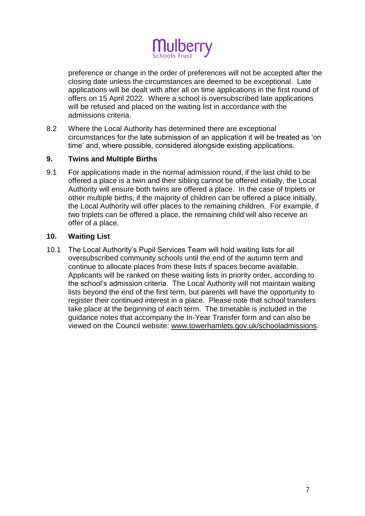

preference or change in the order of preferences will not be accepted after the closing date unless the circumstances are deemed to be exceptional. Late applications will be dealt with after all on time applications in the first round of offers on 15 April 2022. Where a school is oversubscribed late applications will be refused and placed on the waiting list in accordance with the admissions criteria.

8.2 Where the Local Authority has determined there are exceptional circumstances for the late submission of an application it will be treated as 'on time' and, where possible, considered alongside existing applications.

#### **9. Twins and Multiple Births**

9.1 For applications made in the normal admission round, if the last child to be offered a place is a twin and their sibling cannot be offered initially, the Local Authority will ensure both twins are offered a place. In the case of triplets or other multiple births, if the majority of children can be offered a place initially, the Local Authority will offer places to the remaining children. For example, if two triplets can be offered a place, the remaining child will also receive an offer of a place.

# **10. Waiting List**

10.1 The Local Authority's Pupil Services Team will hold waiting lists for all oversubscribed community schools until the end of the autumn term and continue to allocate places from these lists if spaces become available. Applicants will be ranked on these waiting lists in priority order, according to the school's admission criteria. The Local Authority will not maintain waiting lists beyond the end of the first term, but parents will have the opportunity to register their continued interest in a place. Please note that school transfers take place at the beginning of each term. The timetable is included in the guidance notes that accompany the In-Year Transfer form and can also be viewed on the Council website: www.towerhamlets.gov.uk/schooladmissions.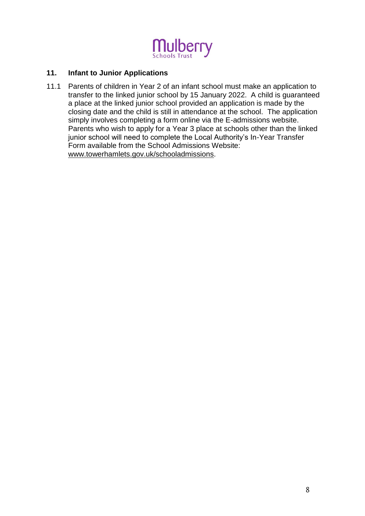

#### **11. Infant to Junior Applications**

11.1 Parents of children in Year 2 of an infant school must make an application to transfer to the linked junior school by 15 January 2022. A child is guaranteed a place at the linked junior school provided an application is made by the closing date and the child is still in attendance at the school. The application simply involves completing a form online via the E-admissions website. Parents who wish to apply for a Year 3 place at schools other than the linked junior school will need to complete the Local Authority's In-Year Transfer Form available from the School Admissions Website: www.towerhamlets.gov.uk/schooladmissions.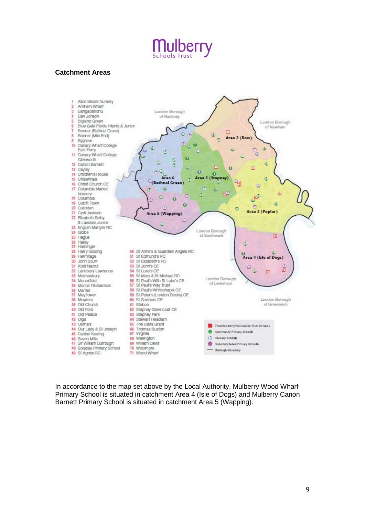

#### **Catchment Areas**



In accordance to the map set above by the Local Authority, Mulberry Wood Wharf Primary School is situated in catchment Area 4 (Isle of Dogs) and Mulberry Canon Barnett Primary School is situated in catchment Area 5 (Wapping).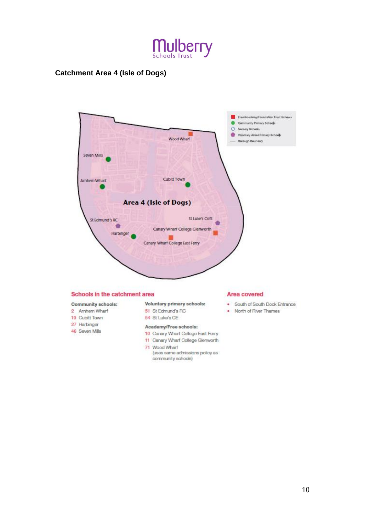

# **Catchment Area 4 (Isle of Dogs)**